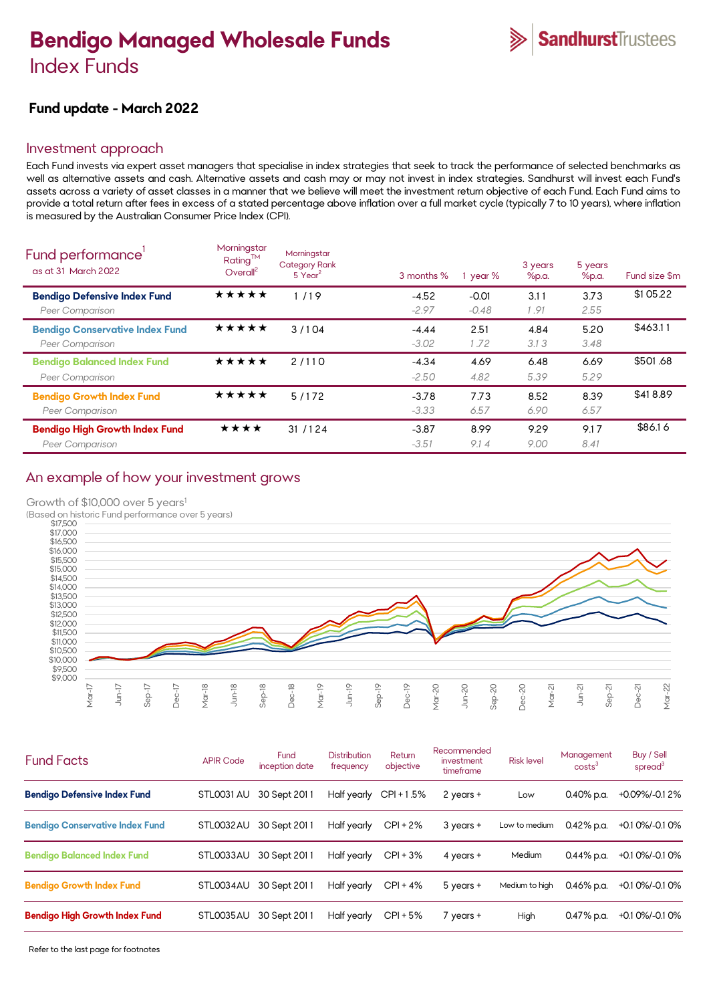# **Bendigo Managed Wholesale Funds** Index Funds



## **Fund update - March 2022**

## Investment approach

Each Fund invests via expert asset managers that specialise in index strategies that seek to track the performance of selected benchmarks as well as alternative assets and cash. Alternative assets and cash may or may not invest in index strategies. Sandhurst will invest each Fund's assets across a variety of asset classes in a manner that we believe will meet the investment return objective of each Fund. Each Fund aims to provide a total return after fees in excess of a stated percentage above inflation over a full market cycle (typically 7 to 10 years), where inflation is measured by the Australian Consumer Price Index (CPI).

| Fund performance'<br>as at 31 March 2022                        | Morningstar<br>Rating™<br>Overall <sup>2</sup> | Morningstar<br><b>Category Rank</b><br>5 Year <sup>2</sup> | 3 months %         | year %             | 3 years<br>%p.a. | 5 years<br>%p.a. | Fund size \$m |
|-----------------------------------------------------------------|------------------------------------------------|------------------------------------------------------------|--------------------|--------------------|------------------|------------------|---------------|
| <b>Bendigo Defensive Index Fund</b><br>Peer Comparison          | *****                                          | 1/19                                                       | $-4.52$<br>$-2.97$ | $-0.01$<br>$-0.48$ | 3.11<br>1.91     | 3.73<br>2.55     | \$1 05.22     |
| <b>Bendigo Conservative Index Fund</b><br>Peer Comparison       | *****                                          | 3/104                                                      | $-4.44$<br>$-3.02$ | 2.51<br>1.72       | 4.84<br>3.13     | 5.20<br>3.48     | \$463.11      |
| <b>Bendigo Balanced Index Fund</b><br>Peer Comparison           | ★★★★★                                          | 2/110                                                      | $-4.34$<br>$-2.50$ | 4.69<br>4.82       | 6.48<br>5.39     | 6.69<br>5.29     | \$501.68      |
| <b>Bendigo Growth Index Fund</b><br>Peer Comparison             | *****                                          | 5/172                                                      | $-3.78$<br>$-3.33$ | 7.73<br>6.57       | 8.52<br>6.90     | 8.39<br>6.57     | \$418.89      |
| <b>Bendigo High Growth Index Fund</b><br><b>Peer Comparison</b> | ★★★★                                           | 31/124                                                     | $-3.87$<br>$-3.51$ | 8.99<br>9.14       | 9.29<br>9.00     | 9.17<br>8.41     | \$86.16       |
|                                                                 |                                                |                                                            |                    |                    |                  |                  |               |

## An example of how your investment grows

Growth of \$10,000 over 5 years<sup>1</sup>





| <b>Fund Facts</b>                      | <b>APIR Code</b> | Fund<br>inception date | <b>Distribution</b><br>frequency | Return<br>objective | Recommended<br>investment<br>timeframe | <b>Risk level</b> | Management<br>costs <sup>3</sup> | Buy / Sell<br>spread $3$ |
|----------------------------------------|------------------|------------------------|----------------------------------|---------------------|----------------------------------------|-------------------|----------------------------------|--------------------------|
| <b>Bendigo Defensive Index Fund</b>    | STL0031 AU       | 30 Sept 2011           | Half yearly                      | $CPI + 1.5%$        | 2 years +                              | Low               | 0.40% p.a.                       | +0.09%/-0.12%            |
| <b>Bendigo Conservative Index Fund</b> | STL0032AU        | 30 Sept 2011           | Half yearly                      | $CPI + 2%$          | 3 years +                              | Low to medium     | $0.42\%$ p.a.                    | +0.1 0%/-0.1 0%          |
| <b>Bendigo Balanced Index Fund</b>     | STL0033AU        | 30 Sept 2011           | Half yearly                      | $CPI + 3%$          | 4 years +                              | <b>Medium</b>     | $0.44\%$ p.a.                    | +0.1 0%/-0.1 0%          |
| <b>Bendigo Growth Index Fund</b>       | STL0034AU        | 30 Sept 2011           | Half yearly                      | $CPI + 4%$          | 5 years +                              | Medium to high    | $0.46\%$ p.a.                    | $+0.10\%/0.10\%$         |
| <b>Bendigo High Growth Index Fund</b>  | STL0035AU        | 30 Sept 2011           | Half yearly                      | $CPI + 5%$          | $7$ years $+$                          | High              | 0.47% p.a.                       | +0.1 0%/-0.1 0%          |
|                                        |                  |                        |                                  |                     |                                        |                   |                                  |                          |

Refer to the last page for footnotes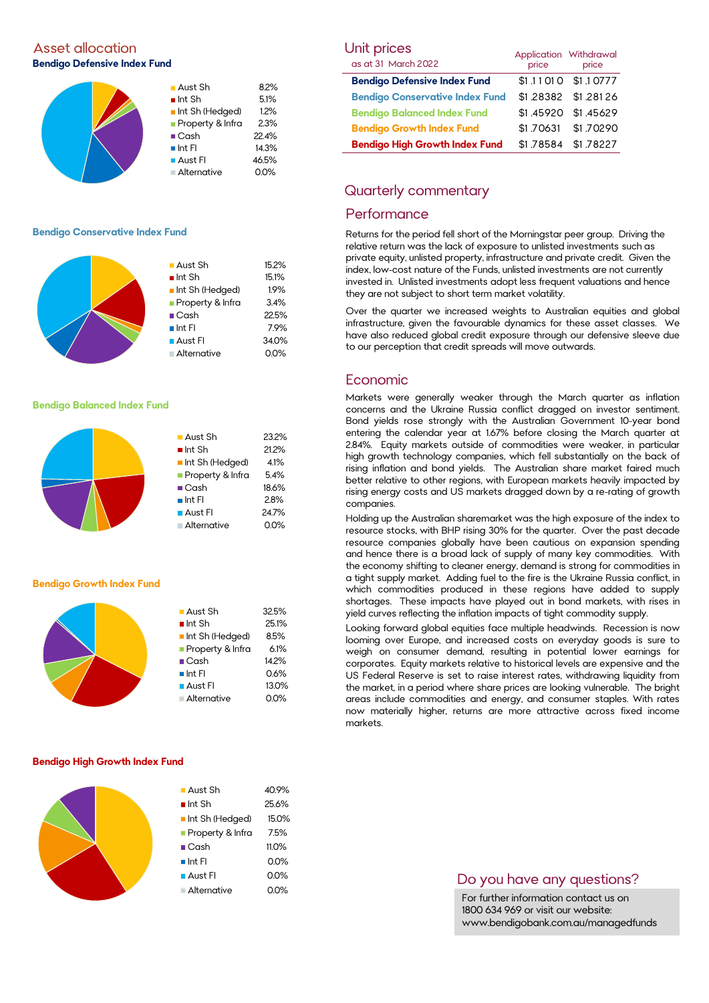## Asset allocation and the Unit prices of the Unit prices of the Unit prices of the Unit prices of the Unit prices **Bendigo Defensive Index Fund**



#### **Bendigo Conservative Index Fund**



#### **Bendigo Balanced Index Fund**



#### **Bendigo Growth Index Fund**



#### **Bendigo High Growth Index Fund**

| $\blacksquare$ Aust Sh | 40.9%   |
|------------------------|---------|
| $\blacksquare$ Int Sh  | 25.6%   |
| Int Sh (Hedged)        | 15.0%   |
| Property & Infra       | 7.5%    |
| $\blacksquare$ Cash    | 11.0%   |
| $\blacksquare$ Int FI  | 0.0%    |
| $\blacksquare$ Aust FI | 0.0%    |
| ■ Alternative          | $0.0\%$ |
|                        |         |

| Unit prices                            |            | Application Withdrawal |  |
|----------------------------------------|------------|------------------------|--|
| as at 31 March 2022                    | .<br>price | price                  |  |
| <b>Bendigo Defensive Index Fund</b>    |            | \$1.11010 \$1.10777    |  |
| <b>Bendigo Conservative Index Fund</b> |            | \$1.28382 \$1.28126    |  |
| <b>Bendigo Balanced Index Fund</b>     |            | \$1.45920 \$1.45629    |  |
| <b>Bendigo Growth Index Fund</b>       | \$1.70631  | \$1.70290              |  |
| <b>Bendigo High Growth Index Fund</b>  | \$1.78584  | \$1.78227              |  |

### Quarterly commentary

#### **Performance**

Returns for the period fell short of the Morningstar peer group. Driving the relative return was the lack of exposure to unlisted investments such as private equity, unlisted property, infrastructure and private credit. Given the index, low-cost nature of the Funds, unlisted investments are not currently invested in. Unlisted investments adopt less frequent valuations and hence they are not subject to short term market volatility.

Over the quarter we increased weights to Australian equities and global infrastructure, given the favourable dynamics for these asset classes. We have also reduced global credit exposure through our defensive sleeve due to our perception that credit spreads will move outwards.

#### Economic

Markets were generally weaker through the March quarter as inflation concerns and the Ukraine Russia conflict dragged on investor sentiment. Bond yields rose strongly with the Australian Government 10-year bond entering the calendar year at 1.67% before closing the March quarter at 2.84%. Equity markets outside of commodities were weaker, in particular high growth technology companies, which fell substantially on the back of rising inflation and bond yields. The Australian share market faired much better relative to other regions, with European markets heavily impacted by rising energy costs and US markets dragged down by a re-rating of growth companies.

Holding up the Australian sharemarket was the high exposure of the index to resource stocks, with BHP rising 30% for the quarter. Over the past decade resource companies globally have been cautious on expansion spending and hence there is a broad lack of supply of many key commodities. With the economy shifting to cleaner energy, demand is strong for commodities in a tight supply market. Adding fuel to the fire is the Ukraine Russia conflict, in which commodities produced in these regions have added to supply shortages. These impacts have played out in bond markets, with rises in yield curves reflecting the inflation impacts of tight commodity supply.

Looking forward global equities face multiple headwinds. Recession is now looming over Europe, and increased costs on everyday goods is sure to weigh on consumer demand, resulting in potential lower earnings for corporates. Equity markets relative to historical levels are expensive and the US Federal Reserve is set to raise interest rates, withdrawing liquidity from the market, in a period where share prices are looking vulnerable. The bright areas include commodities and energy, and consumer staples. With rates now materially higher, returns are more attractive across fixed income markets.

## Do you have any questions?

For further information contact us on 1800 634 969 or visit our website: www.bendigobank.com.au/managedfunds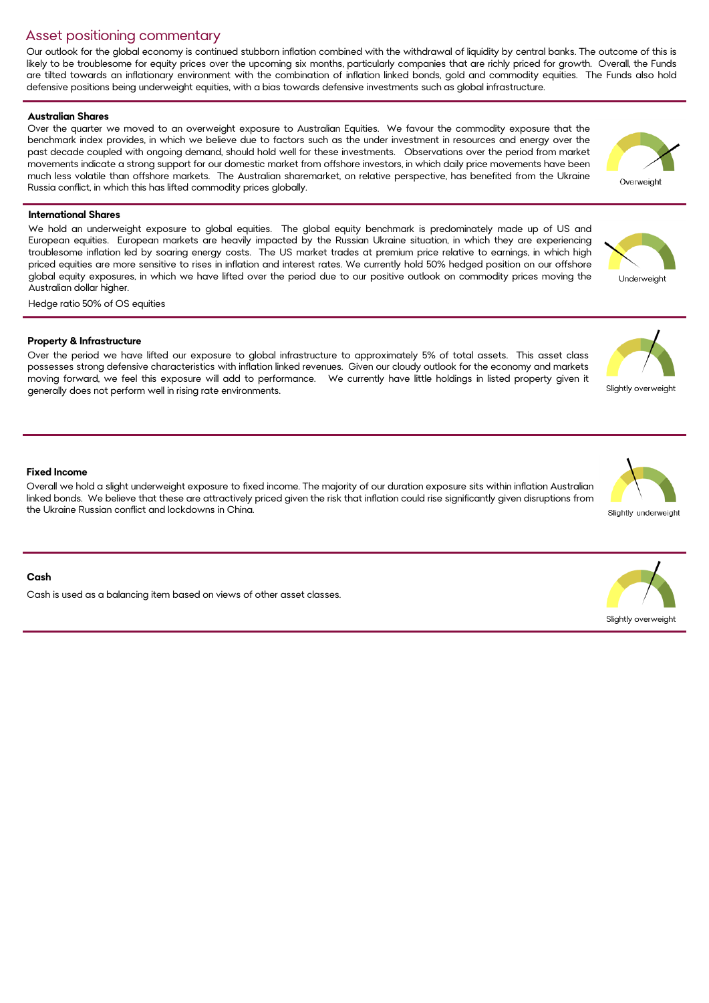## Asset positioning commentary

Our outlook for the global economy is continued stubborn inflation combined with the withdrawal of liquidity by central banks. The outcome of this is likely to be troublesome for equity prices over the upcoming six months, particularly companies that are richly priced for growth. Overall, the Funds are tilted towards an inflationary environment with the combination of inflation linked bonds, gold and commodity equities. The Funds also hold defensive positions being underweight equities, with a bias towards defensive investments such as global infrastructure.

#### **Australian Shares**

Over the quarter we moved to an overweight exposure to Australian Equities. We favour the commodity exposure that the benchmark index provides, in which we believe due to factors such as the under investment in resources and energy over the past decade coupled with ongoing demand, should hold well for these investments. Observations over the period from market movements indicate a strong support for our domestic market from offshore investors, in which daily price movements have been much less volatile than offshore markets. The Australian sharemarket, on relative perspective, has benefited from the Ukraine Russia conflict, in which this has lifted commodity prices globally.

#### **International Shares**

We hold an underweight exposure to global equities. The global equity benchmark is predominately made up of US and European equities. European markets are heavily impacted by the Russian Ukraine situation, in which they are experiencing troublesome inflation led by soaring energy costs. The US market trades at premium price relative to earnings, in which high priced equities are more sensitive to rises in inflation and interest rates. We currently hold 50% hedged position on our offshore global equity exposures, in which we have lifted over the period due to our positive outlook on commodity prices moving the Australian dollar higher.

Hedge ratio 50% of OS equities

#### **Property & Infrastructure**

Over the period we have lifted our exposure to global infrastructure to approximately 5% of total assets. This asset class possesses strong defensive characteristics with inflation linked revenues. Given our cloudy outlook for the economy and markets moving forward, we feel this exposure will add to performance. We currently have little holdings in listed property given it generally does not perform well in rising rate environments.

#### **Fixed Income**

Overall we hold a slight underweight exposure to fixed income. The majority of our duration exposure sits within inflation Australian linked bonds. We believe that these are attractively priced given the risk that inflation could rise significantly given disruptions from the Ukraine Russian conflict and lockdowns in China.

#### **Cash**

Cash is used as a balancing item based on views of other asset classes.

Slightly overweight